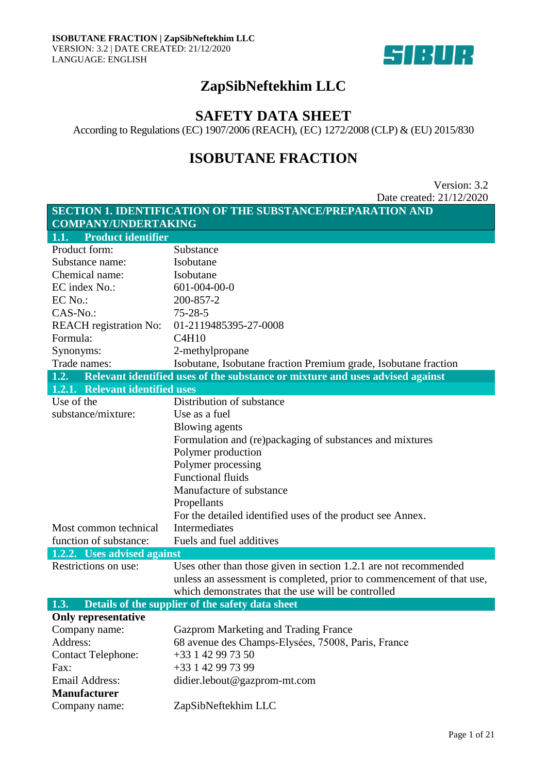

# **ZapSibNeftekhim LLC**

## **SAFETY DATA SHEET**

According to Regulations (EC) 1907/2006 (REACH), (EC) 1272/2008 (CLP) & (EU) 2015/830

# **ISOBUTANE FRACTION**

Version: 3.2 Date created: 21/12/2020

| <b>SECTION 1. IDENTIFICATION OF THE SUBSTANCE/PREPARATION AND</b> |                                                                               |  |
|-------------------------------------------------------------------|-------------------------------------------------------------------------------|--|
| <b>COMPANY/UNDERTAKING</b>                                        |                                                                               |  |
| <b>Product identifier</b><br>1.1.                                 |                                                                               |  |
| Product form:                                                     | Substance                                                                     |  |
| Substance name:                                                   | Isobutane                                                                     |  |
| Chemical name:                                                    | Isobutane                                                                     |  |
| EC index No.:                                                     | 601-004-00-0                                                                  |  |
| EC No.:                                                           | 200-857-2                                                                     |  |
| CAS-No.:                                                          | $75 - 28 - 5$                                                                 |  |
| <b>REACH</b> registration No:                                     | 01-2119485395-27-0008                                                         |  |
| Formula:                                                          | <b>C4H10</b>                                                                  |  |
| Synonyms:                                                         | 2-methylpropane                                                               |  |
| Trade names:                                                      | Isobutane, Isobutane fraction Premium grade, Isobutane fraction               |  |
| 1.2.                                                              | Relevant identified uses of the substance or mixture and uses advised against |  |
| 1.2.1. Relevant identified uses                                   |                                                                               |  |
| Use of the                                                        | Distribution of substance                                                     |  |
| substance/mixture:                                                | Use as a fuel                                                                 |  |
|                                                                   | Blowing agents                                                                |  |
|                                                                   | Formulation and (re)packaging of substances and mixtures                      |  |
|                                                                   | Polymer production                                                            |  |
|                                                                   | Polymer processing                                                            |  |
|                                                                   | <b>Functional fluids</b>                                                      |  |
|                                                                   | Manufacture of substance                                                      |  |
|                                                                   | Propellants                                                                   |  |
|                                                                   | For the detailed identified uses of the product see Annex.                    |  |
| Most common technical                                             | Intermediates                                                                 |  |
| function of substance:                                            | Fuels and fuel additives                                                      |  |
| 1.2.2. Uses advised against                                       |                                                                               |  |
| Restrictions on use:                                              | Uses other than those given in section 1.2.1 are not recommended              |  |
|                                                                   | unless an assessment is completed, prior to commencement of that use,         |  |
|                                                                   | which demonstrates that the use will be controlled                            |  |
| 1.3.                                                              | Details of the supplier of the safety data sheet                              |  |
| <b>Only representative</b>                                        |                                                                               |  |
| Company name:                                                     | Gazprom Marketing and Trading France                                          |  |
| Address:                                                          | 68 avenue des Champs-Elysées, 75008, Paris, France                            |  |
| <b>Contact Telephone:</b>                                         | +33 1 42 99 73 50                                                             |  |
| Fax:                                                              | +33 1 42 99 73 99                                                             |  |
| <b>Email Address:</b>                                             | didier.lebout@gazprom-mt.com                                                  |  |
| <b>Manufacturer</b>                                               |                                                                               |  |
| Company name:                                                     | ZapSibNeftekhim LLC                                                           |  |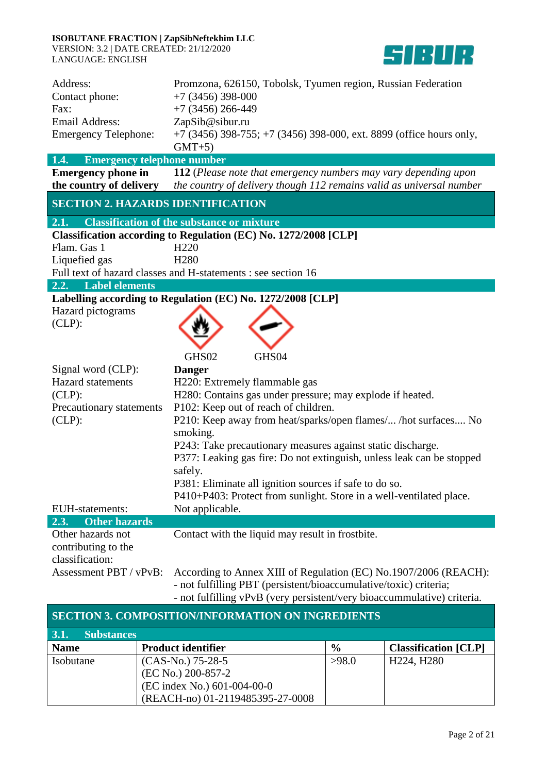#### **ISOBUTANE FRACTION | ZapSibNeftekhim LLC**

VERSION: 3.2 | DATE CREATED: 21/12/2020 LANGUAGE: ENGLISH



| Address:                                  | Promzona, 626150, Tobolsk, Tyumen region, Russian Federation                   |
|-------------------------------------------|--------------------------------------------------------------------------------|
| Contact phone:                            | $+7(3456)398-000$                                                              |
| Fax:                                      | $+7$ (3456) 266-449                                                            |
| <b>Email Address:</b>                     | ZapSib@sibur.ru                                                                |
| <b>Emergency Telephone:</b>               | +7 (3456) 398-755; +7 (3456) 398-000, ext. 8899 (office hours only,<br>$GMT+5$ |
| <b>Emergency telephone number</b><br>1.4. |                                                                                |
| <b>Emergency phone in</b>                 | 112 (Please note that emergency numbers may vary depending upon                |
| the country of delivery                   | the country of delivery though 112 remains valid as universal number           |
| <b>SECTION 2. HAZARDS IDENTIFICATION</b>  |                                                                                |
| 2.1.                                      | <b>Classification of the substance or mixture</b>                              |
|                                           | Classification according to Regulation (EC) No. 1272/2008 [CLP]                |
| Flam. Gas 1                               | H <sub>220</sub>                                                               |
| Liquefied gas                             | H <sub>280</sub>                                                               |
|                                           | Full text of hazard classes and H-statements : see section 16                  |
| 2.2.<br><b>Label elements</b>             |                                                                                |
|                                           | Labelling according to Regulation (EC) No. 1272/2008 [CLP]                     |
| Hazard pictograms                         |                                                                                |
| $CLP)$ :                                  |                                                                                |
|                                           |                                                                                |
|                                           | GHS02<br>GHS04                                                                 |
| Signal word (CLP):                        | <b>Danger</b>                                                                  |
| <b>Hazard</b> statements                  | H220: Extremely flammable gas                                                  |
| $CLP)$ :                                  | H280: Contains gas under pressure; may explode if heated.                      |
| Precautionary statements                  | P102: Keep out of reach of children.                                           |
| $CLP)$ :                                  | P210: Keep away from heat/sparks/open flames/ /hot surfaces No                 |
|                                           | smoking.<br>P243: Take precautionary measures against static discharge.        |
|                                           | P377: Leaking gas fire: Do not extinguish, unless leak can be stopped          |
|                                           | safely.                                                                        |
|                                           | P381: Eliminate all ignition sources if safe to do so.                         |
|                                           | P410+P403: Protect from sunlight. Store in a well-ventilated place.            |
| EUH-statements:                           | Not applicable.                                                                |
| 2.3.<br><b>Other hazards</b>              |                                                                                |
| Other hazards not                         | Contact with the liquid may result in frostbite.                               |
| contributing to the                       |                                                                                |
| classification:                           |                                                                                |
| Assessment PBT / vPvB:                    | According to Annex XIII of Regulation (EC) No.1907/2006 (REACH):               |
|                                           | - not fulfilling PBT (persistent/bioaccumulative/toxic) criteria;              |
|                                           | - not fulfilling vPvB (very persistent/very bioaccummulative) criteria.        |
|                                           | CECTION 3. COMPOCITION/INFORMATION ON INCREDIENTS                              |

| ESECTION 5. COMPOSITION/INFORMATION ON INGREDIENTS |                                  |               |                                     |  |
|----------------------------------------------------|----------------------------------|---------------|-------------------------------------|--|
| <b>3.1.</b><br><b>Substances</b>                   |                                  |               |                                     |  |
| <b>Name</b>                                        | <b>Product identifier</b>        | $\frac{0}{0}$ | <b>Classification</b> [CLP]         |  |
| Isobutane                                          | $(CAS-N0)$ 75-28-5               | >98.0         | H <sub>224</sub> , H <sub>280</sub> |  |
|                                                    | (EC No.) 200-857-2               |               |                                     |  |
|                                                    | (EC index No.) 601-004-00-0      |               |                                     |  |
|                                                    | (REACH-no) 01-2119485395-27-0008 |               |                                     |  |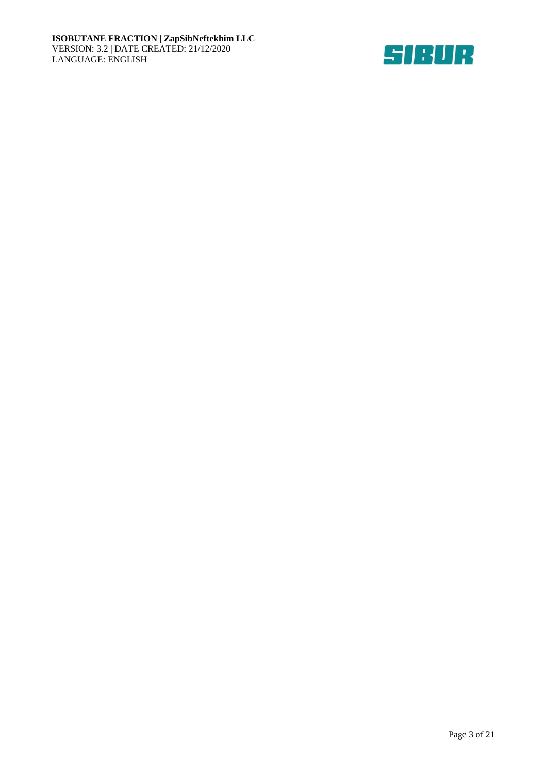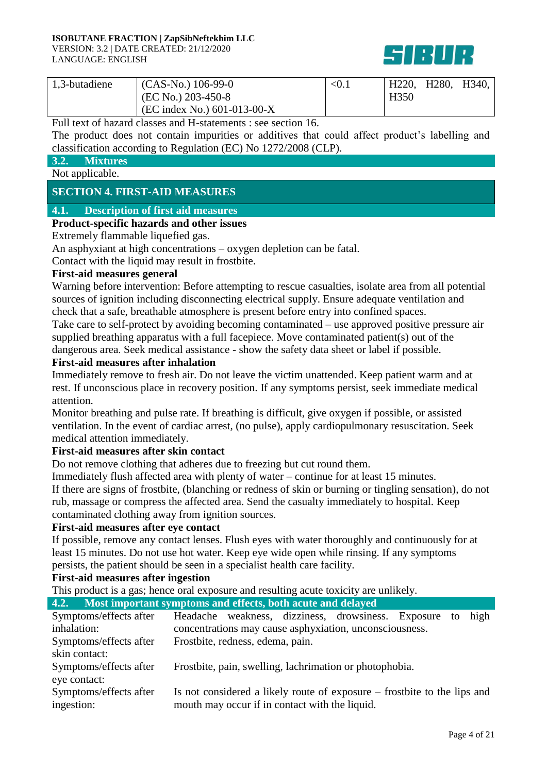## **ISOBUTANE FRACTION | ZapSibNeftekhim LLC**

VERSION: 3.2 | DATE CREATED: 21/12/2020 LANGUAGE: ENGLISH



| 1,3-butadiene | $(CAS-No.)$ 106-99-0        | $<$ 0.1 | H <sub>220</sub> | H280, H340, |  |
|---------------|-----------------------------|---------|------------------|-------------|--|
|               | $(EC No.) 203-450-8$        |         | H <sub>350</sub> |             |  |
|               | (EC index No.) 601-013-00-X |         |                  |             |  |

Full text of hazard classes and H-statements : see section 16.

The product does not contain impurities or additives that could affect product's labelling and classification according to Regulation (EC) No 1272/2008 (CLP).

# **3.2. Mixtures**

Not applicable.

## **SECTION 4. FIRST-AID MEASURES**

## **4.1. Description of first aid measures**

## **Product-specific hazards and other issues**

Extremely flammable liquefied gas.

An asphyxiant at high concentrations – oxygen depletion can be fatal.

Contact with the liquid may result in frostbite.

#### **First-aid measures general**

Warning before intervention: Before attempting to rescue casualties, isolate area from all potential sources of ignition including disconnecting electrical supply. Ensure adequate ventilation and check that a safe, breathable atmosphere is present before entry into confined spaces.

Take care to self-protect by avoiding becoming contaminated – use approved positive pressure air supplied breathing apparatus with a full facepiece. Move contaminated patient(s) out of the dangerous area. Seek medical assistance - show the safety data sheet or label if possible.

#### **First-aid measures after inhalation**

Immediately remove to fresh air. Do not leave the victim unattended. Keep patient warm and at rest. If unconscious place in recovery position. If any symptoms persist, seek immediate medical attention.

Monitor breathing and pulse rate. If breathing is difficult, give oxygen if possible, or assisted ventilation. In the event of cardiac arrest, (no pulse), apply cardiopulmonary resuscitation. Seek medical attention immediately.

## **First-aid measures after skin contact**

Do not remove clothing that adheres due to freezing but cut round them.

Immediately flush affected area with plenty of water – continue for at least 15 minutes.

If there are signs of frostbite, (blanching or redness of skin or burning or tingling sensation), do not rub, massage or compress the affected area. Send the casualty immediately to hospital. Keep contaminated clothing away from ignition sources.

#### **First-aid measures after eye contact**

If possible, remove any contact lenses. Flush eyes with water thoroughly and continuously for at least 15 minutes. Do not use hot water. Keep eye wide open while rinsing. If any symptoms persists, the patient should be seen in a specialist health care facility.

#### **First-aid measures after ingestion**

This product is a gas; hence oral exposure and resulting acute toxicity are unlikely.

## **4.2. Most important symptoms and effects, both acute and delayed**

| Symptoms/effects after | Headache weakness, dizziness, drowsiness. Exposure to<br>high            |
|------------------------|--------------------------------------------------------------------------|
| inhalation:            | concentrations may cause asphyxiation, unconsciousness.                  |
| Symptoms/effects after | Frostbite, redness, edema, pain.                                         |
| skin contact:          |                                                                          |
| Symptoms/effects after | Frostbite, pain, swelling, lachrimation or photophobia.                  |
| eye contact:           |                                                                          |
| Symptoms/effects after | Is not considered a likely route of exposure – frostbite to the lips and |
| ingestion:             | mouth may occur if in contact with the liquid.                           |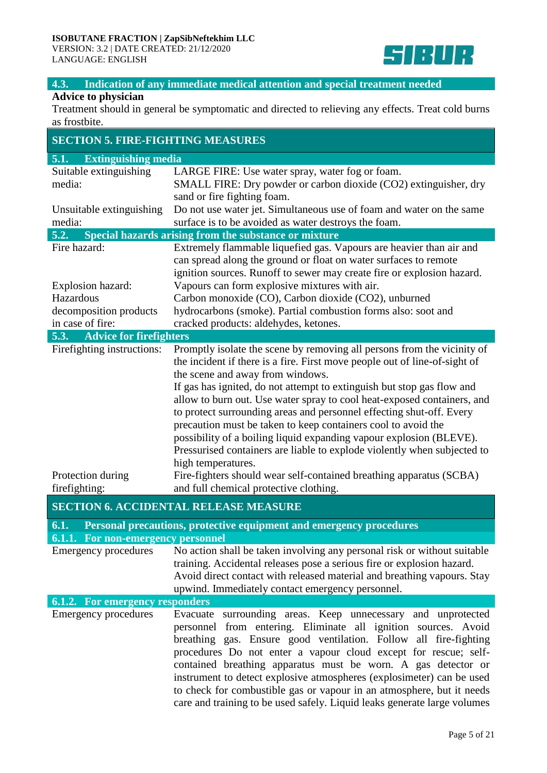VERSION: 3.2 | DATE CREATED: 21/12/2020 LANGUAGE: ENGLISH



## **4.3. Indication of any immediate medical attention and special treatment needed**

## **Advice to physician**

Treatment should in general be symptomatic and directed to relieving any effects. Treat cold burns as frostbite.

| <b>SECTION 5. FIRE-FIGHTING MEASURES</b>                                 |                                                                                                                                                                                                                                                                                                                                                                                                                                                                                                                                                                                                                                                                                                                                                                                   |  |  |
|--------------------------------------------------------------------------|-----------------------------------------------------------------------------------------------------------------------------------------------------------------------------------------------------------------------------------------------------------------------------------------------------------------------------------------------------------------------------------------------------------------------------------------------------------------------------------------------------------------------------------------------------------------------------------------------------------------------------------------------------------------------------------------------------------------------------------------------------------------------------------|--|--|
| <b>Extinguishing media</b><br>5.1.                                       |                                                                                                                                                                                                                                                                                                                                                                                                                                                                                                                                                                                                                                                                                                                                                                                   |  |  |
| Suitable extinguishing<br>media:                                         | LARGE FIRE: Use water spray, water fog or foam.<br>SMALL FIRE: Dry powder or carbon dioxide (CO2) extinguisher, dry<br>sand or fire fighting foam.                                                                                                                                                                                                                                                                                                                                                                                                                                                                                                                                                                                                                                |  |  |
| Unsuitable extinguishing<br>media:                                       | Do not use water jet. Simultaneous use of foam and water on the same<br>surface is to be avoided as water destroys the foam.                                                                                                                                                                                                                                                                                                                                                                                                                                                                                                                                                                                                                                                      |  |  |
| 5.2.                                                                     | Special hazards arising from the substance or mixture                                                                                                                                                                                                                                                                                                                                                                                                                                                                                                                                                                                                                                                                                                                             |  |  |
| Fire hazard:                                                             | Extremely flammable liquefied gas. Vapours are heavier than air and<br>can spread along the ground or float on water surfaces to remote<br>ignition sources. Runoff to sewer may create fire or explosion hazard.                                                                                                                                                                                                                                                                                                                                                                                                                                                                                                                                                                 |  |  |
| Explosion hazard:                                                        | Vapours can form explosive mixtures with air.                                                                                                                                                                                                                                                                                                                                                                                                                                                                                                                                                                                                                                                                                                                                     |  |  |
| Hazardous                                                                | Carbon monoxide (CO), Carbon dioxide (CO2), unburned                                                                                                                                                                                                                                                                                                                                                                                                                                                                                                                                                                                                                                                                                                                              |  |  |
| decomposition products                                                   | hydrocarbons (smoke). Partial combustion forms also: soot and                                                                                                                                                                                                                                                                                                                                                                                                                                                                                                                                                                                                                                                                                                                     |  |  |
| in case of fire:                                                         | cracked products: aldehydes, ketones.                                                                                                                                                                                                                                                                                                                                                                                                                                                                                                                                                                                                                                                                                                                                             |  |  |
| <b>Advice for firefighters</b><br>5.3.                                   |                                                                                                                                                                                                                                                                                                                                                                                                                                                                                                                                                                                                                                                                                                                                                                                   |  |  |
| Firefighting instructions:<br>Protection during<br>firefighting:         | Promptly isolate the scene by removing all persons from the vicinity of<br>the incident if there is a fire. First move people out of line-of-sight of<br>the scene and away from windows.<br>If gas has ignited, do not attempt to extinguish but stop gas flow and<br>allow to burn out. Use water spray to cool heat-exposed containers, and<br>to protect surrounding areas and personnel effecting shut-off. Every<br>precaution must be taken to keep containers cool to avoid the<br>possibility of a boiling liquid expanding vapour explosion (BLEVE).<br>Pressurised containers are liable to explode violently when subjected to<br>high temperatures.<br>Fire-fighters should wear self-contained breathing apparatus (SCBA)<br>and full chemical protective clothing. |  |  |
|                                                                          | <b>SECTION 6. ACCIDENTAL RELEASE MEASURE</b>                                                                                                                                                                                                                                                                                                                                                                                                                                                                                                                                                                                                                                                                                                                                      |  |  |
| 6.1.                                                                     | Personal precautions, protective equipment and emergency procedures                                                                                                                                                                                                                                                                                                                                                                                                                                                                                                                                                                                                                                                                                                               |  |  |
| <b>6.1.1. For non-emergency personnel</b><br><b>Emergency procedures</b> | No action shall be taken involving any personal risk or without suitable<br>training. Accidental releases pose a serious fire or explosion hazard.<br>Avoid direct contact with released material and breathing vapours. Stay<br>upwind. Immediately contact emergency personnel.                                                                                                                                                                                                                                                                                                                                                                                                                                                                                                 |  |  |
| <b>6.1.2.</b> For emergency responders                                   |                                                                                                                                                                                                                                                                                                                                                                                                                                                                                                                                                                                                                                                                                                                                                                                   |  |  |
| <b>Emergency procedures</b>                                              | Evacuate surrounding areas. Keep unnecessary and unprotected<br>personnel from entering. Eliminate all ignition sources. Avoid<br>breathing gas. Ensure good ventilation. Follow all fire-fighting<br>procedures Do not enter a vapour cloud except for rescue; self-<br>contained breathing apparatus must be worn. A gas detector or<br>instrument to detect explosive atmospheres (explosimeter) can be used<br>to check for combustible gas or vapour in an atmosphere, but it needs<br>care and training to be used safely. Liquid leaks generate large volumes                                                                                                                                                                                                              |  |  |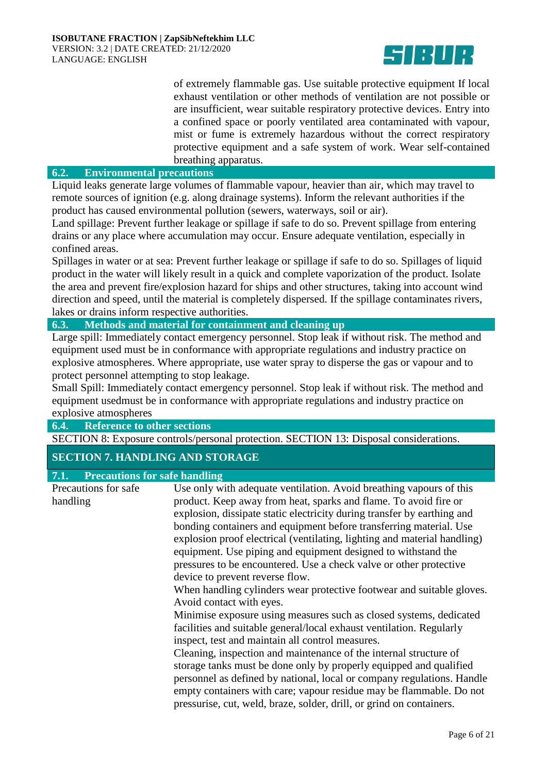

of extremely flammable gas. Use suitable protective equipment If local exhaust ventilation or other methods of ventilation are not possible or are insufficient, wear suitable respiratory protective devices. Entry into a confined space or poorly ventilated area contaminated with vapour, mist or fume is extremely hazardous without the correct respiratory protective equipment and a safe system of work. Wear self-contained breathing apparatus.

#### **6.2. Environmental precautions**

Liquid leaks generate large volumes of flammable vapour, heavier than air, which may travel to remote sources of ignition (e.g. along drainage systems). Inform the relevant authorities if the product has caused environmental pollution (sewers, waterways, soil or air).

Land spillage: Prevent further leakage or spillage if safe to do so. Prevent spillage from entering drains or any place where accumulation may occur. Ensure adequate ventilation, especially in confined areas.

Spillages in water or at sea: Prevent further leakage or spillage if safe to do so. Spillages of liquid product in the water will likely result in a quick and complete vaporization of the product. Isolate the area and prevent fire/explosion hazard for ships and other structures, taking into account wind direction and speed, until the material is completely dispersed. If the spillage contaminates rivers, lakes or drains inform respective authorities.

#### **6.3. Methods and material for containment and cleaning up**

Large spill: Immediately contact emergency personnel. Stop leak if without risk. The method and equipment used must be in conformance with appropriate regulations and industry practice on explosive atmospheres. Where appropriate, use water spray to disperse the gas or vapour and to protect personnel attempting to stop leakage.

Small Spill: Immediately contact emergency personnel. Stop leak if without risk. The method and equipment usedmust be in conformance with appropriate regulations and industry practice on explosive atmospheres

#### **6.4. Reference to other sections**

SECTION 8: Exposure controls/personal protection. SECTION 13: Disposal considerations.

#### **SECTION 7. HANDLING AND STORAGE**

#### **7.1. Precautions for safe handling**

| Precautions for safe<br>handling | Use only with adequate ventilation. Avoid breathing vapours of this<br>product. Keep away from heat, sparks and flame. To avoid fire or<br>explosion, dissipate static electricity during transfer by earthing and<br>bonding containers and equipment before transferring material. Use<br>explosion proof electrical (ventilating, lighting and material handling)<br>equipment. Use piping and equipment designed to withstand the<br>pressures to be encountered. Use a check valve or other protective<br>device to prevent reverse flow.<br>When handling cylinders wear protective footwear and suitable gloves.<br>Avoid contact with eyes.<br>Minimise exposure using measures such as closed systems, dedicated<br>facilities and suitable general/local exhaust ventilation. Regularly<br>inspect, test and maintain all control measures.<br>Cleaning, inspection and maintenance of the internal structure of<br>storage tanks must be done only by properly equipped and qualified<br>personnel as defined by national, local or company regulations. Handle<br>empty containers with care; vapour residue may be flammable. Do not<br>pressurise, cut, weld, braze, solder, drill, or grind on containers. |
|----------------------------------|---------------------------------------------------------------------------------------------------------------------------------------------------------------------------------------------------------------------------------------------------------------------------------------------------------------------------------------------------------------------------------------------------------------------------------------------------------------------------------------------------------------------------------------------------------------------------------------------------------------------------------------------------------------------------------------------------------------------------------------------------------------------------------------------------------------------------------------------------------------------------------------------------------------------------------------------------------------------------------------------------------------------------------------------------------------------------------------------------------------------------------------------------------------------------------------------------------------------------|
|                                  |                                                                                                                                                                                                                                                                                                                                                                                                                                                                                                                                                                                                                                                                                                                                                                                                                                                                                                                                                                                                                                                                                                                                                                                                                           |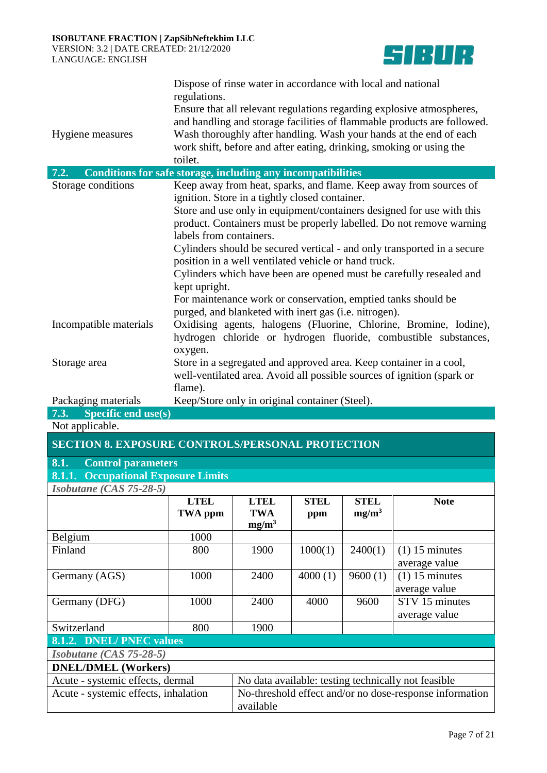

|                        | Dispose of rinse water in accordance with local and national            |
|------------------------|-------------------------------------------------------------------------|
|                        | regulations.                                                            |
|                        | Ensure that all relevant regulations regarding explosive atmospheres,   |
|                        | and handling and storage facilities of flammable products are followed. |
| Hygiene measures       | Wash thoroughly after handling. Wash your hands at the end of each      |
|                        | work shift, before and after eating, drinking, smoking or using the     |
|                        | toilet.                                                                 |
| 7.2.                   | Conditions for safe storage, including any incompatibilities            |
| Storage conditions     | Keep away from heat, sparks, and flame. Keep away from sources of       |
|                        | ignition. Store in a tightly closed container.                          |
|                        | Store and use only in equipment/containers designed for use with this   |
|                        | product. Containers must be properly labelled. Do not remove warning    |
|                        | labels from containers.                                                 |
|                        | Cylinders should be secured vertical - and only transported in a secure |
|                        | position in a well ventilated vehicle or hand truck.                    |
|                        | Cylinders which have been are opened must be carefully resealed and     |
|                        | kept upright.                                                           |
|                        | For maintenance work or conservation, emptied tanks should be           |
|                        | purged, and blanketed with inert gas (i.e. nitrogen).                   |
| Incompatible materials | Oxidising agents, halogens (Fluorine, Chlorine, Bromine, Iodine),       |
|                        | hydrogen chloride or hydrogen fluoride, combustible substances,         |
|                        | oxygen.                                                                 |
| Storage area           | Store in a segregated and approved area. Keep container in a cool,      |
|                        | well-ventilated area. Avoid all possible sources of ignition (spark or  |
|                        | flame).                                                                 |
| Packaging materials    | Keep/Store only in original container (Steel).                          |

**7.3. Specific end use(s)**

Not applicable.

## **SECTION 8. EXPOSURE CONTROLS/PERSONAL PROTECTION**

## **8.1. Control parameters**

|                                                                      |  | <b>8.1.1. Occupational Exposure Limits</b> |  |
|----------------------------------------------------------------------|--|--------------------------------------------|--|
| $I_{\alpha\alpha}$ butang $(\Omega \wedge \Omega \pi \wedge \Omega)$ |  |                                            |  |

| <i>ISODutane</i> (CAS $/3$ -28-3)    |             |                                                                      |             |                   |                                   |
|--------------------------------------|-------------|----------------------------------------------------------------------|-------------|-------------------|-----------------------------------|
|                                      | <b>LTEL</b> | <b>LTEL</b>                                                          | <b>STEL</b> | <b>STEL</b>       | <b>Note</b>                       |
|                                      | TWA ppm     | <b>TWA</b><br>$mg/m^3$                                               | ppm         | mg/m <sup>3</sup> |                                   |
| Belgium                              | 1000        |                                                                      |             |                   |                                   |
| Finland                              | 800         | 1900                                                                 | 1000(1)     | 2400(1)           | $(1)$ 15 minutes<br>average value |
| Germany (AGS)                        | 1000        | 2400                                                                 | 4000(1)     | 9600(1)           | $(1)$ 15 minutes<br>average value |
| Germany (DFG)                        | 1000        | 2400                                                                 | 4000        | 9600              | STV 15 minutes<br>average value   |
| Switzerland                          | 800         | 1900                                                                 |             |                   |                                   |
| 8.1.2. DNEL/PNEC values              |             |                                                                      |             |                   |                                   |
| <i>Isobutane</i> ( $CAS$ $75-28-5$ ) |             |                                                                      |             |                   |                                   |
| <b>DNEL/DMEL (Workers)</b>           |             |                                                                      |             |                   |                                   |
| Acute - systemic effects, dermal     |             | No data available: testing technically not feasible                  |             |                   |                                   |
| Acute - systemic effects, inhalation |             | No-threshold effect and/or no dose-response information<br>available |             |                   |                                   |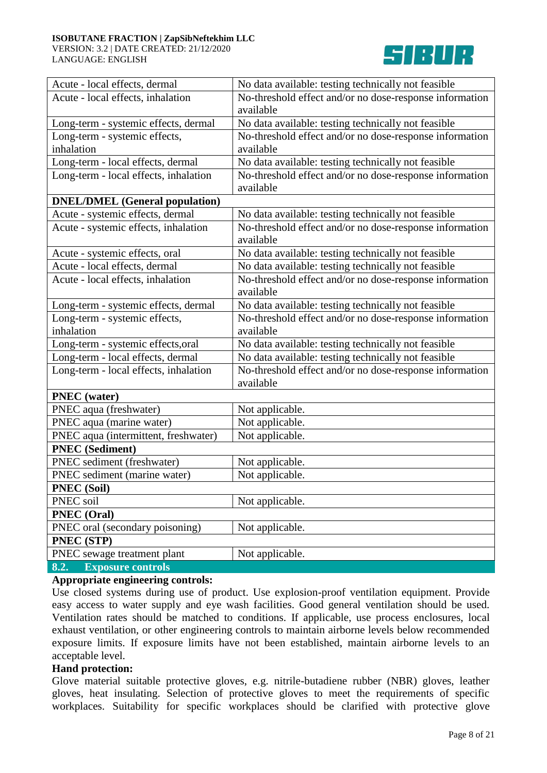

| Acute - local effects, dermal         | No data available: testing technically not feasible     |
|---------------------------------------|---------------------------------------------------------|
| Acute - local effects, inhalation     | No-threshold effect and/or no dose-response information |
|                                       | available                                               |
| Long-term - systemic effects, dermal  | No data available: testing technically not feasible     |
| Long-term - systemic effects,         | No-threshold effect and/or no dose-response information |
| inhalation                            | available                                               |
| Long-term - local effects, dermal     | No data available: testing technically not feasible     |
| Long-term - local effects, inhalation | No-threshold effect and/or no dose-response information |
|                                       | available                                               |
| <b>DNEL/DMEL</b> (General population) |                                                         |
| Acute - systemic effects, dermal      | No data available: testing technically not feasible     |
| Acute - systemic effects, inhalation  | No-threshold effect and/or no dose-response information |
|                                       | available                                               |
| Acute - systemic effects, oral        | No data available: testing technically not feasible     |
| Acute - local effects, dermal         | No data available: testing technically not feasible     |
| Acute - local effects, inhalation     | No-threshold effect and/or no dose-response information |
|                                       | available                                               |
| Long-term - systemic effects, dermal  | No data available: testing technically not feasible     |
| Long-term - systemic effects,         | No-threshold effect and/or no dose-response information |
| inhalation                            | available                                               |
| Long-term - systemic effects, oral    | No data available: testing technically not feasible     |
| Long-term - local effects, dermal     | No data available: testing technically not feasible     |
| Long-term - local effects, inhalation | No-threshold effect and/or no dose-response information |
|                                       | available                                               |
| <b>PNEC</b> (water)                   |                                                         |
| PNEC aqua (freshwater)                | Not applicable.                                         |
| PNEC aqua (marine water)              | Not applicable.                                         |
| PNEC aqua (intermittent, freshwater)  | Not applicable.                                         |
| <b>PNEC</b> (Sediment)                |                                                         |
| PNEC sediment (freshwater)            | Not applicable.                                         |
| PNEC sediment (marine water)          | Not applicable.                                         |
| PNEC <sub>(Soil)</sub>                |                                                         |
| PNEC soil                             | Not applicable.                                         |
| PNEC (Oral)                           |                                                         |
| PNEC oral (secondary poisoning)       | Not applicable.                                         |
| PNEC (STP)                            |                                                         |
| PNEC sewage treatment plant           | Not applicable.                                         |
| 8.2.<br><b>Exposure controls</b>      |                                                         |

#### **Appropriate engineering controls:**

Use closed systems during use of product. Use explosion-proof ventilation equipment. Provide easy access to water supply and eye wash facilities. Good general ventilation should be used. Ventilation rates should be matched to conditions. If applicable, use process enclosures, local exhaust ventilation, or other engineering controls to maintain airborne levels below recommended exposure limits. If exposure limits have not been established, maintain airborne levels to an acceptable level.

#### **Hand protection:**

Glove material suitable protective gloves, e.g. nitrile-butadiene rubber (NBR) gloves, leather gloves, heat insulating. Selection of protective gloves to meet the requirements of specific workplaces. Suitability for specific workplaces should be clarified with protective glove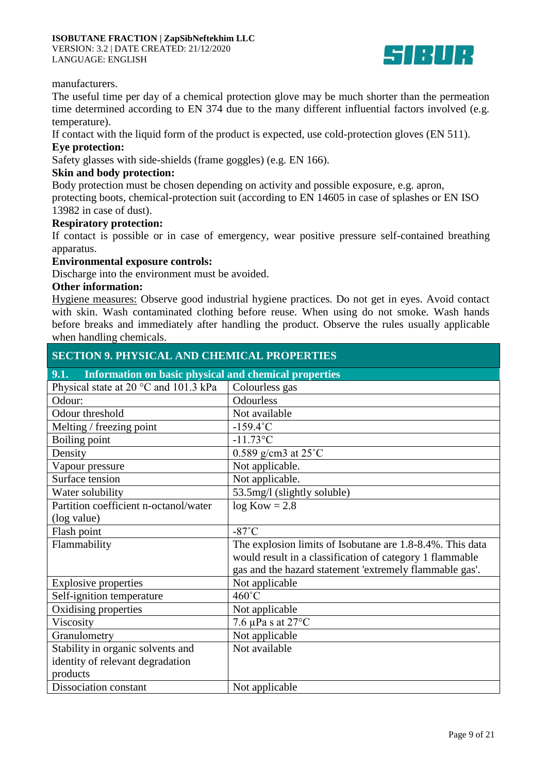

#### manufacturers.

The useful time per day of a chemical protection glove may be much shorter than the permeation time determined according to EN 374 due to the many different influential factors involved (e.g. temperature).

If contact with the liquid form of the product is expected, use cold-protection gloves (EN 511). **Eye protection:**

Safety glasses with side-shields (frame goggles) (e.g. EN 166).

### **Skin and body protection:**

Body protection must be chosen depending on activity and possible exposure, e.g. apron, protecting boots, chemical-protection suit (according to EN 14605 in case of splashes or EN ISO 13982 in case of dust).

#### **Respiratory protection:**

If contact is possible or in case of emergency, wear positive pressure self-contained breathing apparatus.

#### **Environmental exposure controls:**

Discharge into the environment must be avoided.

#### **Other information:**

Hygiene measures: Observe good industrial hygiene practices. Do not get in eyes. Avoid contact with skin. Wash contaminated clothing before reuse. When using do not smoke. Wash hands before breaks and immediately after handling the product. Observe the rules usually applicable when handling chemicals.

| <b>SECTION 9. PHYSICAL AND CHEMICAL PROPERTIES</b>            |                                                           |  |  |
|---------------------------------------------------------------|-----------------------------------------------------------|--|--|
| Information on basic physical and chemical properties<br>9.1. |                                                           |  |  |
| Physical state at 20 °C and 101.3 kPa                         | Colourless gas                                            |  |  |
| Odour:                                                        | <b>Odourless</b>                                          |  |  |
| Odour threshold                                               | Not available                                             |  |  |
| Melting / freezing point                                      | $-159.4^{\circ}C$                                         |  |  |
| Boiling point                                                 | $-11.73$ °C                                               |  |  |
| Density                                                       | 0.589 g/cm3 at $25^{\circ}$ C                             |  |  |
| Vapour pressure                                               | Not applicable.                                           |  |  |
| Surface tension                                               | Not applicable.                                           |  |  |
| Water solubility                                              | 53.5mg/l (slightly soluble)                               |  |  |
| Partition coefficient n-octanol/water                         | $log Kow = 2.8$                                           |  |  |
| (log value)                                                   |                                                           |  |  |
| Flash point                                                   | $-87^{\circ}$ C                                           |  |  |
| Flammability                                                  | The explosion limits of Isobutane are 1.8-8.4%. This data |  |  |
|                                                               | would result in a classification of category 1 flammable  |  |  |
|                                                               | gas and the hazard statement 'extremely flammable gas'.   |  |  |
| <b>Explosive properties</b>                                   | Not applicable                                            |  |  |
| Self-ignition temperature                                     | $460^{\circ}$ C                                           |  |  |
| Oxidising properties                                          | Not applicable                                            |  |  |
| Viscosity                                                     | 7.6 $\mu$ Pa s at 27°C                                    |  |  |
| Granulometry                                                  | Not applicable                                            |  |  |
| Stability in organic solvents and                             | Not available                                             |  |  |
| identity of relevant degradation                              |                                                           |  |  |
| products                                                      |                                                           |  |  |
| Dissociation constant                                         | Not applicable                                            |  |  |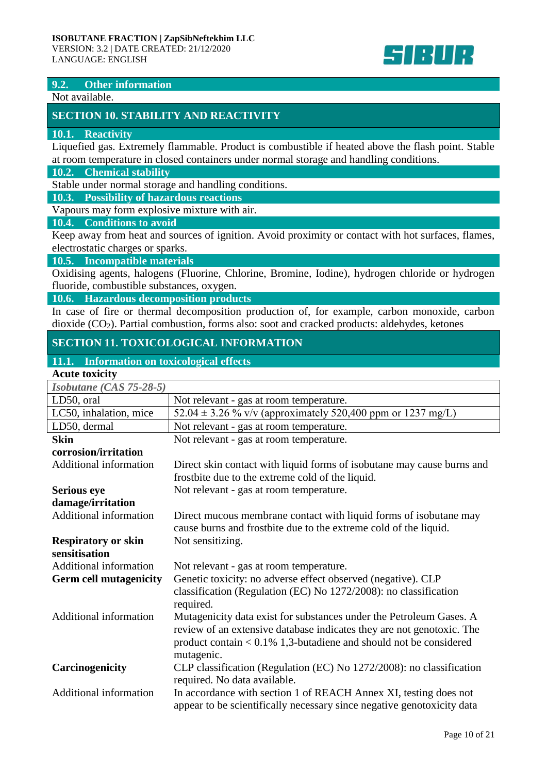

#### **9.2. Other information**

#### Not available.

#### **SECTION 10. STABILITY AND REACTIVITY**

#### **10.1. Reactivity**

Liquefied gas. Extremely flammable. Product is combustible if heated above the flash point. Stable at room temperature in closed containers under normal storage and handling conditions.

#### **10.2. Chemical stability**

Stable under normal storage and handling conditions.

**10.3. Possibility of hazardous reactions**

Vapours may form explosive mixture with air.

#### **10.4. Conditions to avoid**

Keep away from heat and sources of ignition. Avoid proximity or contact with hot surfaces, flames, electrostatic charges or sparks.

#### **10.5. Incompatible materials**

Oxidising agents, halogens (Fluorine, Chlorine, Bromine, Iodine), hydrogen chloride or hydrogen fluoride, combustible substances, oxygen.

**10.6. Hazardous decomposition products**

In case of fire or thermal decomposition production of, for example, carbon monoxide, carbon dioxide (CO2). Partial combustion, forms also: soot and cracked products: aldehydes, ketones

#### **SECTION 11. TOXICOLOGICAL INFORMATION**

#### **11.1. Information on toxicological effects**

### **Acute toxicity**

| <i>Isobutane</i> ( $CAS$ 75-28-5) |                                                                                                      |
|-----------------------------------|------------------------------------------------------------------------------------------------------|
| LD50, oral                        | Not relevant - gas at room temperature.                                                              |
| LC50, inhalation, mice            | 52.04 ± 3.26 % v/v (approximately 520,400 ppm or 1237 mg/L)                                          |
| LD50, dermal                      | Not relevant - gas at room temperature.                                                              |
| <b>Skin</b>                       | Not relevant - gas at room temperature.                                                              |
| corrosion/irritation              |                                                                                                      |
| Additional information            | Direct skin contact with liquid forms of isobutane may cause burns and                               |
|                                   | frostbite due to the extreme cold of the liquid.                                                     |
| <b>Serious eye</b>                | Not relevant - gas at room temperature.                                                              |
| damage/irritation                 |                                                                                                      |
| Additional information            | Direct mucous membrane contact with liquid forms of isobutane may                                    |
|                                   | cause burns and frostbite due to the extreme cold of the liquid.                                     |
| <b>Respiratory or skin</b>        | Not sensitizing.                                                                                     |
| sensitisation                     |                                                                                                      |
| Additional information            | Not relevant - gas at room temperature.                                                              |
| <b>Germ cell mutagenicity</b>     | Genetic toxicity: no adverse effect observed (negative). CLP                                         |
|                                   | classification (Regulation (EC) No 1272/2008): no classification                                     |
|                                   | required.                                                                                            |
| Additional information            | Mutagenicity data exist for substances under the Petroleum Gases. A                                  |
|                                   | review of an extensive database indicates they are not genotoxic. The                                |
|                                   | product contain $< 0.1\%$ 1,3-butadiene and should not be considered                                 |
|                                   | mutagenic.                                                                                           |
| Carcinogenicity                   | CLP classification (Regulation (EC) No 1272/2008): no classification<br>required. No data available. |
| Additional information            | In accordance with section 1 of REACH Annex XI, testing does not                                     |
|                                   | appear to be scientifically necessary since negative genotoxicity data                               |
|                                   |                                                                                                      |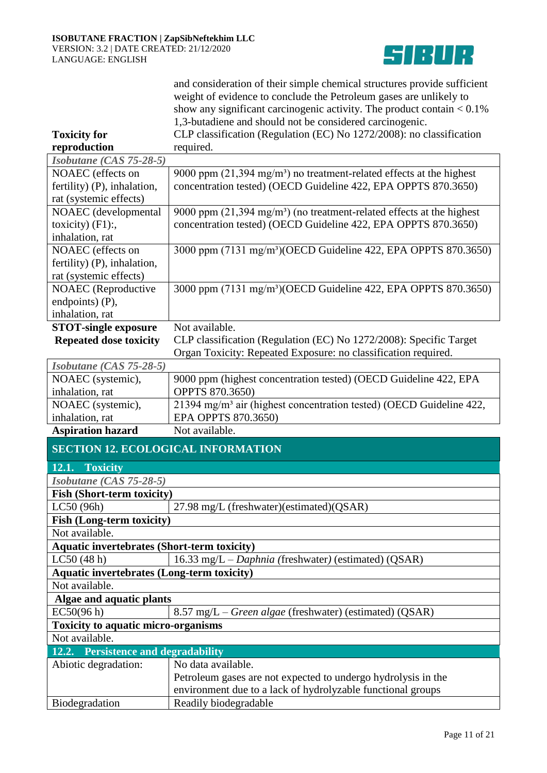

and consideration of their simple chemical structures provide sufficient weight of evidence to conclude the Petroleum gases are unlikely to show any significant carcinogenic activity. The product contain  $< 0.1\%$ 1,3-butadiene and should not be considered carcinogenic.

| <b>Toxicity for</b>               | CLP classification (Regulation (EC) No 1272/2008): no classification            |
|-----------------------------------|---------------------------------------------------------------------------------|
| reproduction                      | required.                                                                       |
| <i>Isobutane</i> ( $CAS$ 75-28-5) |                                                                                 |
| NOAEC (effects on                 | 9000 ppm $(21,394 \text{ mg/m}^3)$ no treatment-related effects at the highest  |
| fertility) (P), inhalation,       | concentration tested) (OECD Guideline 422, EPA OPPTS 870.3650)                  |
| rat (systemic effects)            |                                                                                 |
| NOAEC (developmental              | 9000 ppm $(21,394 \text{ mg/m}^3)$ (no treatment-related effects at the highest |
| toxicity) $(F1)$ :                | concentration tested) (OECD Guideline 422, EPA OPPTS 870.3650)                  |
| inhalation, rat                   |                                                                                 |
| NOAEC (effects on                 | 3000 ppm (7131 mg/m <sup>3</sup> )(OECD Guideline 422, EPA OPPTS 870.3650)      |
| fertility) (P), inhalation,       |                                                                                 |
| rat (systemic effects)            |                                                                                 |
| <b>NOAEC</b> (Reproductive        | 3000 ppm (7131 mg/m <sup>3</sup> )(OECD Guideline 422, EPA OPPTS 870.3650)      |
| endpoints) $(P)$ ,                |                                                                                 |
| inhalation, rat                   |                                                                                 |
| <b>STOT-single exposure</b>       | Not available.                                                                  |
| <b>Repeated dose toxicity</b>     | CLP classification (Regulation (EC) No 1272/2008): Specific Target              |
|                                   | Organ Toxicity: Repeated Exposure: no classification required.                  |

| <i>Isobutane</i> ( <i>CAS</i> $75-28-5$ ) |                                                                                   |
|-------------------------------------------|-----------------------------------------------------------------------------------|
| NOAEC (systemic),                         | 9000 ppm (highest concentration tested) (OECD Guideline 422, EPA                  |
| inhalation, rat                           | <b>OPPTS 870.3650)</b>                                                            |
| NOAEC (systemic),                         | $21394$ mg/m <sup>3</sup> air (highest concentration tested) (OECD Guideline 422, |
| inhalation, rat                           | EPA OPPTS 870.3650)                                                               |
| <b>Aspiration hazard</b>                  | Not available.                                                                    |

## **SECTION 12. ECOLOGICAL INFORMATION**

## **12.1. Toxicity**

| <i>Isobutane</i> ( $CAS$ 75-28-5)                  |                                                                             |  |  |  |  |
|----------------------------------------------------|-----------------------------------------------------------------------------|--|--|--|--|
| <b>Fish (Short-term toxicity)</b>                  |                                                                             |  |  |  |  |
| LC50(96h)                                          | 27.98 mg/L (freshwater)(estimated)(QSAR)                                    |  |  |  |  |
| <b>Fish (Long-term toxicity)</b>                   |                                                                             |  |  |  |  |
| Not available.                                     |                                                                             |  |  |  |  |
| <b>Aquatic invertebrates (Short-term toxicity)</b> |                                                                             |  |  |  |  |
| LC50(48 h)                                         | 16.33 mg/L – Daphnia (freshwater) (estimated) (QSAR)                        |  |  |  |  |
| <b>Aquatic invertebrates (Long-term toxicity)</b>  |                                                                             |  |  |  |  |
| Not available.                                     |                                                                             |  |  |  |  |
| Algae and aquatic plants                           |                                                                             |  |  |  |  |
| EC50(96 h)                                         | $8.57 \text{ mg/L} - Green \text{ algebra}$ (freshwater) (estimated) (QSAR) |  |  |  |  |
| <b>Toxicity to aquatic micro-organisms</b>         |                                                                             |  |  |  |  |
| Not available.                                     |                                                                             |  |  |  |  |
| 12.2. Persistence and degradability                |                                                                             |  |  |  |  |
| Abiotic degradation:                               | No data available.                                                          |  |  |  |  |
|                                                    | Petroleum gases are not expected to undergo hydrolysis in the               |  |  |  |  |
|                                                    | environment due to a lack of hydrolyzable functional groups                 |  |  |  |  |
| Biodegradation                                     | Readily biodegradable                                                       |  |  |  |  |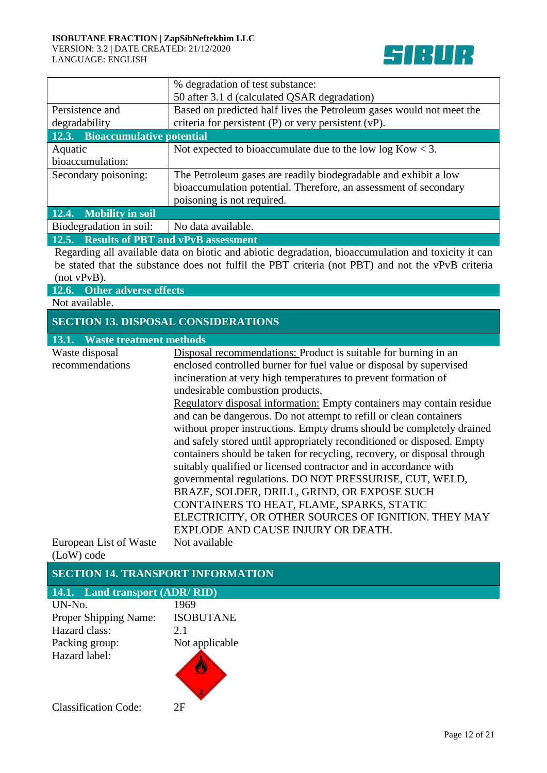

|                                          | % degradation of test substance:                                     |  |  |  |  |
|------------------------------------------|----------------------------------------------------------------------|--|--|--|--|
|                                          | 50 after 3.1 d (calculated QSAR degradation)                         |  |  |  |  |
| Persistence and                          | Based on predicted half lives the Petroleum gases would not meet the |  |  |  |  |
| degradability                            | criteria for persistent $(P)$ or very persistent $(vP)$ .            |  |  |  |  |
| 12.3. Bioaccumulative potential          |                                                                      |  |  |  |  |
| Aquatic                                  | Not expected to bioaccumulate due to the low $log Kow < 3$ .         |  |  |  |  |
| bioaccumulation:                         |                                                                      |  |  |  |  |
| Secondary poisoning:                     | The Petroleum gases are readily biodegradable and exhibit a low      |  |  |  |  |
|                                          | bioaccumulation potential. Therefore, an assessment of secondary     |  |  |  |  |
|                                          | poisoning is not required.                                           |  |  |  |  |
| 12.4. Mobility in soil                   |                                                                      |  |  |  |  |
| Biodegradation in soil:                  | No data available.                                                   |  |  |  |  |
| 12.5. Results of PBT and vPvB assessment |                                                                      |  |  |  |  |

Regarding all available data on biotic and abiotic degradation, bioaccumulation and toxicity it can be stated that the substance does not fulfil the PBT criteria (not PBT) and not the vPvB criteria (not vPvB).

**12.6. Other adverse effects**

Not available.

## **SECTION 13. DISPOSAL CONSIDERATIONS**

| 13.1. Waste treatment methods |  |  |  |
|-------------------------------|--|--|--|
|                               |  |  |  |

| <br><u>overlede traditione inclineats</u> |                                                                         |
|-------------------------------------------|-------------------------------------------------------------------------|
| Waste disposal                            | Disposal recommendations: Product is suitable for burning in an         |
| recommendations                           | enclosed controlled burner for fuel value or disposal by supervised     |
|                                           | incineration at very high temperatures to prevent formation of          |
|                                           | undesirable combustion products.                                        |
|                                           | Regulatory disposal information: Empty containers may contain residue   |
|                                           | and can be dangerous. Do not attempt to refill or clean containers      |
|                                           | without proper instructions. Empty drums should be completely drained   |
|                                           | and safely stored until appropriately reconditioned or disposed. Empty  |
|                                           | containers should be taken for recycling, recovery, or disposal through |
|                                           | suitably qualified or licensed contractor and in accordance with        |
|                                           | governmental regulations. DO NOT PRESSURISE, CUT, WELD,                 |
|                                           | BRAZE, SOLDER, DRILL, GRIND, OR EXPOSE SUCH                             |
|                                           | CONTAINERS TO HEAT, FLAME, SPARKS, STATIC                               |
|                                           | ELECTRICITY, OR OTHER SOURCES OF IGNITION. THEY MAY                     |
|                                           | EXPLODE AND CAUSE INJURY OR DEATH.                                      |
| European List of Waste                    | Not available                                                           |

(LoW) code

## **SECTION 14. TRANSPORT INFORMATION**

| 14.1. Land transport (ADR/RID) |                  |
|--------------------------------|------------------|
| UN-No.                         | 1969             |
| <b>Proper Shipping Name:</b>   | <b>ISOBUTANE</b> |
| Hazard class:                  | 2.1              |
| Packing group:                 | Not applicable   |
| Hazard label:                  |                  |
| <b>Classification Code:</b>    | 2F               |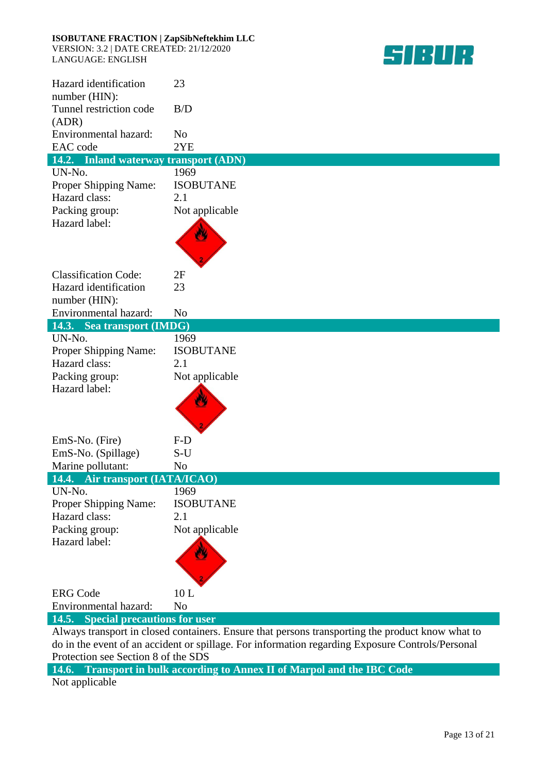| ISOBUTANE FRACTION   ZapSibNeftekhim LLC<br><b>VERSION: 3.2   DATE CREATED: 21/12/2020</b> |                  |       |
|--------------------------------------------------------------------------------------------|------------------|-------|
| LANGUAGE: ENGLISH                                                                          |                  | SIBUR |
| Hazard identification                                                                      | 23               |       |
| number (HIN):                                                                              |                  |       |
| Tunnel restriction code<br>(ADR)                                                           | B/D              |       |
| Environmental hazard:                                                                      | N <sub>o</sub>   |       |
| EAC code                                                                                   | 2YE              |       |
| 14.2. Inland waterway transport (ADN)                                                      |                  |       |
| UN-No.                                                                                     | 1969             |       |
| Proper Shipping Name:                                                                      | <b>ISOBUTANE</b> |       |
| Hazard class:                                                                              | 2.1              |       |
| Packing group:                                                                             | Not applicable   |       |
| Hazard label:                                                                              |                  |       |
|                                                                                            |                  |       |
|                                                                                            |                  |       |
|                                                                                            |                  |       |
| <b>Classification Code:</b>                                                                | 2F               |       |
| Hazard identification                                                                      | 23               |       |
| number (HIN):                                                                              |                  |       |
| Environmental hazard:                                                                      | N <sub>o</sub>   |       |
| 14.3. Sea transport (IMDG)                                                                 |                  |       |
| UN-No.                                                                                     | 1969             |       |
| Proper Shipping Name:                                                                      | <b>ISOBUTANE</b> |       |
| Hazard class:                                                                              | 2.1              |       |
| Packing group:                                                                             | Not applicable   |       |
| Hazard label:                                                                              |                  |       |
|                                                                                            |                  |       |
| EmS-No. (Fire)                                                                             | F-D              |       |
| EmS-No. (Spillage)                                                                         | S-U              |       |
| Marine pollutant:                                                                          | N <sub>o</sub>   |       |
| 14.4. Air transport (IATA/ICAO)                                                            |                  |       |
| UN-No.                                                                                     | 1969             |       |
| Proper Shipping Name:                                                                      | <b>ISOBUTANE</b> |       |
| Hazard class:                                                                              | 2.1              |       |
| Packing group:                                                                             | Not applicable   |       |
| Hazard label:                                                                              |                  |       |
|                                                                                            |                  |       |
|                                                                                            |                  |       |
|                                                                                            |                  |       |
| <b>ERG</b> Code                                                                            | 10L              |       |
| Environmental hazard:                                                                      | N <sub>o</sub>   |       |
| 14.5. Special precautions for user                                                         |                  |       |

Always transport in closed containers. Ensure that persons transporting the product know what to do in the event of an accident or spillage. For information regarding Exposure Controls/Personal Protection see Section 8 of the SDS

**14.6. Transport in bulk according to Annex II of Marpol and the IBC Code** Not applicable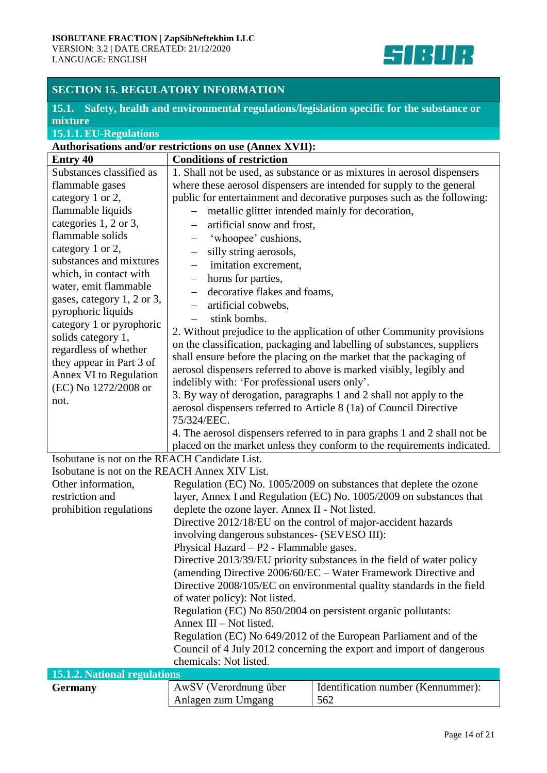

## **SECTION 15. REGULATORY INFORMATION**

**15.1. Safety, health and environmental regulations/legislation specific for the substance or mixture**

## **15.1.1. EU-Regulations**

| <b>Authorisations and/or restrictions on use (Annex XVII):</b>                                 |                                                                                                                                                      |                                                                         |  |  |  |  |  |
|------------------------------------------------------------------------------------------------|------------------------------------------------------------------------------------------------------------------------------------------------------|-------------------------------------------------------------------------|--|--|--|--|--|
| <b>Entry 40</b>                                                                                | <b>Conditions of restriction</b>                                                                                                                     |                                                                         |  |  |  |  |  |
| Substances classified as                                                                       | 1. Shall not be used, as substance or as mixtures in aerosol dispensers                                                                              |                                                                         |  |  |  |  |  |
| flammable gases                                                                                | where these aerosol dispensers are intended for supply to the general                                                                                |                                                                         |  |  |  |  |  |
| category 1 or 2,                                                                               | public for entertainment and decorative purposes such as the following:                                                                              |                                                                         |  |  |  |  |  |
| flammable liquids                                                                              | metallic glitter intended mainly for decoration,                                                                                                     |                                                                         |  |  |  |  |  |
| categories 1, 2 or 3,                                                                          | artificial snow and frost,                                                                                                                           |                                                                         |  |  |  |  |  |
| flammable solids                                                                               | 'whoopee' cushions,<br>$\overline{\phantom{m}}$                                                                                                      |                                                                         |  |  |  |  |  |
| category 1 or 2,                                                                               | silly string aerosols,<br>—                                                                                                                          |                                                                         |  |  |  |  |  |
| substances and mixtures                                                                        | imitation excrement,<br>$\qquad \qquad -$                                                                                                            |                                                                         |  |  |  |  |  |
| which, in contact with                                                                         | horns for parties,                                                                                                                                   |                                                                         |  |  |  |  |  |
| water, emit flammable                                                                          | decorative flakes and foams,                                                                                                                         |                                                                         |  |  |  |  |  |
| gases, category 1, 2 or 3,                                                                     | artificial cobwebs,                                                                                                                                  |                                                                         |  |  |  |  |  |
| pyrophoric liquids                                                                             | stink bombs.<br>$\overline{\phantom{0}}$                                                                                                             |                                                                         |  |  |  |  |  |
| category 1 or pyrophoric                                                                       |                                                                                                                                                      | 2. Without prejudice to the application of other Community provisions   |  |  |  |  |  |
| solids category 1,                                                                             |                                                                                                                                                      | on the classification, packaging and labelling of substances, suppliers |  |  |  |  |  |
| regardless of whether                                                                          |                                                                                                                                                      | shall ensure before the placing on the market that the packaging of     |  |  |  |  |  |
| they appear in Part 3 of                                                                       |                                                                                                                                                      | aerosol dispensers referred to above is marked visibly, legibly and     |  |  |  |  |  |
| Annex VI to Regulation                                                                         | indelibly with: 'For professional users only'.                                                                                                       |                                                                         |  |  |  |  |  |
| (EC) No 1272/2008 or                                                                           |                                                                                                                                                      | 3. By way of derogation, paragraphs 1 and 2 shall not apply to the      |  |  |  |  |  |
| not.                                                                                           |                                                                                                                                                      | aerosol dispensers referred to Article 8 (1a) of Council Directive      |  |  |  |  |  |
|                                                                                                | 75/324/EEC.                                                                                                                                          |                                                                         |  |  |  |  |  |
|                                                                                                | 4. The aerosol dispensers referred to in para graphs 1 and 2 shall not be<br>placed on the market unless they conform to the requirements indicated. |                                                                         |  |  |  |  |  |
|                                                                                                |                                                                                                                                                      |                                                                         |  |  |  |  |  |
|                                                                                                |                                                                                                                                                      |                                                                         |  |  |  |  |  |
| Isobutane is not on the REACH Candidate List.<br>Isobutane is not on the REACH Annex XIV List. |                                                                                                                                                      |                                                                         |  |  |  |  |  |
| Other information,                                                                             | Regulation (EC) No. 1005/2009 on substances that deplete the ozone                                                                                   |                                                                         |  |  |  |  |  |
| restriction and                                                                                | layer, Annex I and Regulation (EC) No. 1005/2009 on substances that                                                                                  |                                                                         |  |  |  |  |  |
| prohibition regulations                                                                        | deplete the ozone layer. Annex II - Not listed.                                                                                                      |                                                                         |  |  |  |  |  |
|                                                                                                | Directive 2012/18/EU on the control of major-accident hazards                                                                                        |                                                                         |  |  |  |  |  |
|                                                                                                | involving dangerous substances- (SEVESO III):                                                                                                        |                                                                         |  |  |  |  |  |
|                                                                                                | Physical Hazard $- P2$ - Flammable gases.                                                                                                            |                                                                         |  |  |  |  |  |
|                                                                                                | Directive 2013/39/EU priority substances in the field of water policy                                                                                |                                                                         |  |  |  |  |  |
|                                                                                                |                                                                                                                                                      | (amending Directive 2006/60/EC – Water Framework Directive and          |  |  |  |  |  |
|                                                                                                |                                                                                                                                                      | Directive 2008/105/EC on environmental quality standards in the field   |  |  |  |  |  |
|                                                                                                | of water policy): Not listed.                                                                                                                        |                                                                         |  |  |  |  |  |
|                                                                                                | Regulation (EC) No 850/2004 on persistent organic pollutants:                                                                                        |                                                                         |  |  |  |  |  |
|                                                                                                | Annex III – Not listed.                                                                                                                              |                                                                         |  |  |  |  |  |
|                                                                                                | Regulation (EC) No 649/2012 of the European Parliament and of the                                                                                    |                                                                         |  |  |  |  |  |
|                                                                                                |                                                                                                                                                      | Council of 4 July 2012 concerning the export and import of dangerous    |  |  |  |  |  |
|                                                                                                | chemicals: Not listed.                                                                                                                               |                                                                         |  |  |  |  |  |
| <b>15.1.2. National regulations</b>                                                            |                                                                                                                                                      |                                                                         |  |  |  |  |  |
| <b>Germany</b>                                                                                 | AwSV (Verordnung über                                                                                                                                | Identification number (Kennummer):                                      |  |  |  |  |  |
|                                                                                                | Anlagen zum Umgang                                                                                                                                   | 562                                                                     |  |  |  |  |  |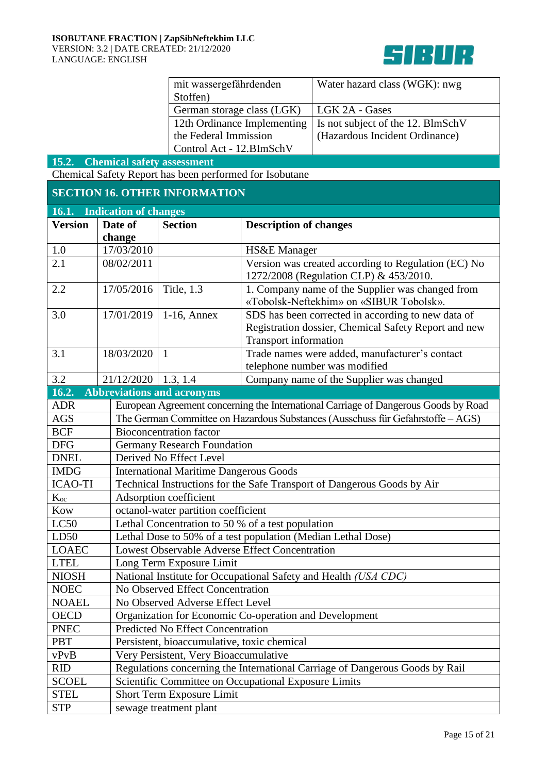

| mit wassergefährdenden      | Water hazard class (WGK): nwg     |
|-----------------------------|-----------------------------------|
| Stoffen)                    |                                   |
| German storage class (LGK)  | LGK 2A - Gases                    |
| 12th Ordinance Implementing | Is not subject of the 12. BlmSchV |
| the Federal Immission       | (Hazardous Incident Ordinance)    |
| Control Act - 12. BImSchV   |                                   |

### **15.2. Chemical safety assessment**

Chemical Safety Report has been performed for Isobutane

#### **SECTION 16. OTHER INFORMATION**

| 16.1.          | <b>Indication of changes</b>      |                                                                              |                                    |                                                                                     |                |                               |
|----------------|-----------------------------------|------------------------------------------------------------------------------|------------------------------------|-------------------------------------------------------------------------------------|----------------|-------------------------------|
| <b>Version</b> | Date of                           |                                                                              |                                    |                                                                                     | <b>Section</b> | <b>Description of changes</b> |
|                | change                            |                                                                              |                                    |                                                                                     |                |                               |
| 1.0            | 17/03/2010                        |                                                                              |                                    | HS&E Manager                                                                        |                |                               |
| 2.1            | 08/02/2011                        |                                                                              |                                    | Version was created according to Regulation (EC) No                                 |                |                               |
|                |                                   |                                                                              |                                    | 1272/2008 (Regulation CLP) & 453/2010.                                              |                |                               |
| 2.2            | 17/05/2016                        |                                                                              | Title, 1.3                         | 1. Company name of the Supplier was changed from                                    |                |                               |
|                |                                   |                                                                              |                                    | «Tobolsk-Neftekhim» on «SIBUR Tobolsk».                                             |                |                               |
| 3.0            | 17/01/2019                        |                                                                              | $1-16$ , Annex                     | SDS has been corrected in according to new data of                                  |                |                               |
|                |                                   |                                                                              |                                    | Registration dossier, Chemical Safety Report and new                                |                |                               |
|                |                                   |                                                                              |                                    | <b>Transport information</b>                                                        |                |                               |
| 3.1            | 18/03/2020                        | $\mathbf{1}$                                                                 |                                    | Trade names were added, manufacturer's contact                                      |                |                               |
|                |                                   |                                                                              |                                    | telephone number was modified                                                       |                |                               |
| 3.2            | 21/12/2020                        | 1.3, 1.4                                                                     |                                    | Company name of the Supplier was changed                                            |                |                               |
| 16.2.          | <b>Abbreviations and acronyms</b> |                                                                              |                                    |                                                                                     |                |                               |
| <b>ADR</b>     |                                   |                                                                              |                                    | European Agreement concerning the International Carriage of Dangerous Goods by Road |                |                               |
| <b>AGS</b>     |                                   |                                                                              |                                    | The German Committee on Hazardous Substances (Ausschuss für Gefahrstoffe - AGS)     |                |                               |
| <b>BCF</b>     |                                   |                                                                              | <b>Bioconcentration factor</b>     |                                                                                     |                |                               |
| <b>DFG</b>     |                                   |                                                                              | <b>Germany Research Foundation</b> |                                                                                     |                |                               |
| <b>DNEL</b>    |                                   |                                                                              | Derived No Effect Level            |                                                                                     |                |                               |
| <b>IMDG</b>    |                                   | <b>International Maritime Dangerous Goods</b>                                |                                    |                                                                                     |                |                               |
| <b>ICAO-TI</b> |                                   | Technical Instructions for the Safe Transport of Dangerous Goods by Air      |                                    |                                                                                     |                |                               |
| $K_{oc}$       |                                   | Adsorption coefficient                                                       |                                    |                                                                                     |                |                               |
| Kow            |                                   | octanol-water partition coefficient                                          |                                    |                                                                                     |                |                               |
| LC50           |                                   | Lethal Concentration to 50 % of a test population                            |                                    |                                                                                     |                |                               |
| LD50           |                                   | Lethal Dose to 50% of a test population (Median Lethal Dose)                 |                                    |                                                                                     |                |                               |
| <b>LOAEC</b>   |                                   | Lowest Observable Adverse Effect Concentration                               |                                    |                                                                                     |                |                               |
| <b>LTEL</b>    |                                   | Long Term Exposure Limit                                                     |                                    |                                                                                     |                |                               |
| <b>NIOSH</b>   |                                   | National Institute for Occupational Safety and Health (USA CDC)              |                                    |                                                                                     |                |                               |
| <b>NOEC</b>    |                                   | No Observed Effect Concentration                                             |                                    |                                                                                     |                |                               |
| <b>NOAEL</b>   |                                   | No Observed Adverse Effect Level                                             |                                    |                                                                                     |                |                               |
| <b>OECD</b>    |                                   | Organization for Economic Co-operation and Development                       |                                    |                                                                                     |                |                               |
| <b>PNEC</b>    |                                   | Predicted No Effect Concentration                                            |                                    |                                                                                     |                |                               |
| <b>PBT</b>     |                                   | Persistent, bioaccumulative, toxic chemical                                  |                                    |                                                                                     |                |                               |
| vPvB           |                                   | Very Persistent, Very Bioaccumulative                                        |                                    |                                                                                     |                |                               |
| <b>RID</b>     |                                   | Regulations concerning the International Carriage of Dangerous Goods by Rail |                                    |                                                                                     |                |                               |
| <b>SCOEL</b>   |                                   | Scientific Committee on Occupational Exposure Limits                         |                                    |                                                                                     |                |                               |
| <b>STEL</b>    |                                   | Short Term Exposure Limit                                                    |                                    |                                                                                     |                |                               |
| <b>STP</b>     |                                   | sewage treatment plant                                                       |                                    |                                                                                     |                |                               |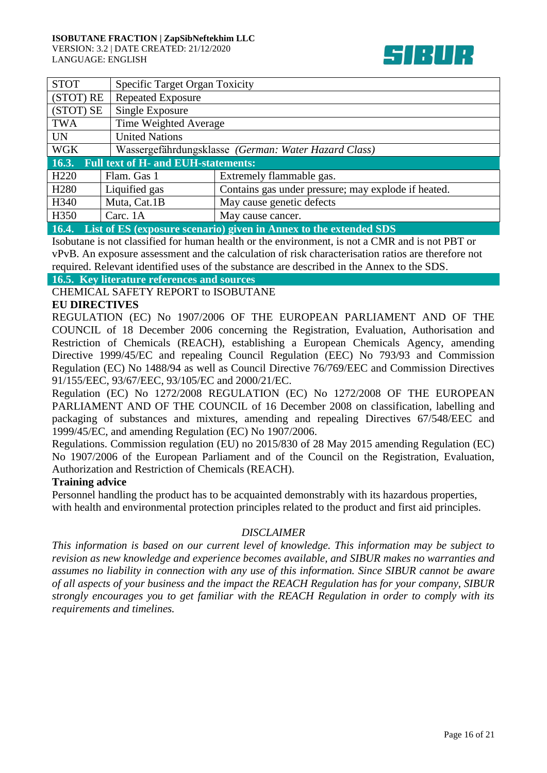## **ISOBUTANE FRACTION | ZapSibNeftekhim LLC**

VERSION: 3.2 | DATE CREATED: 21/12/2020 LANGUAGE: ENGLISH



| <b>STOT</b>                                         | <b>Specific Target Organ Toxicity</b>                |                                                     |  |
|-----------------------------------------------------|------------------------------------------------------|-----------------------------------------------------|--|
| (STOT) RE                                           | <b>Repeated Exposure</b>                             |                                                     |  |
| (STOT) SE                                           | Single Exposure                                      |                                                     |  |
| <b>TWA</b>                                          | Time Weighted Average                                |                                                     |  |
| <b>UN</b>                                           | <b>United Nations</b>                                |                                                     |  |
| <b>WGK</b>                                          | Wassergefährdungsklasse (German: Water Hazard Class) |                                                     |  |
| 16.3.<br><b>Full text of H- and EUH-statements:</b> |                                                      |                                                     |  |
| H <sub>220</sub>                                    | Flam. Gas 1                                          | Extremely flammable gas.                            |  |
| H <sub>280</sub>                                    | Liquified gas                                        | Contains gas under pressure; may explode if heated. |  |
| H340                                                | Muta, Cat.1B                                         | May cause genetic defects                           |  |
| H <sub>350</sub>                                    | Carc. 1A                                             | May cause cancer.                                   |  |
| . <b>. .</b> . <b>.</b>                             |                                                      |                                                     |  |

**16.4. List of ES (exposure scenario) given in Annex to the extended SDS**

Isobutane is not classified for human health or the environment, is not a CMR and is not PBT or vPvB. An exposure assessment and the calculation of risk characterisation ratios are therefore not required. Relevant identified uses of the substance are described in the Annex to the SDS.

#### **16.5. Key literature references and sources**

CHEMICAL SAFETY REPORT to ISOBUTANE

#### **EU DIRECTIVES**

REGULATION (EC) No 1907/2006 OF THE EUROPEAN PARLIAMENT AND OF THE COUNCIL of 18 December 2006 concerning the Registration, Evaluation, Authorisation and Restriction of Chemicals (REACH), establishing a European Chemicals Agency, amending Directive 1999/45/EC and repealing Council Regulation (EEC) No 793/93 and Commission Regulation (EC) No 1488/94 as well as Council Directive 76/769/EEC and Commission Directives 91/155/EEC, 93/67/EEC, 93/105/EC and 2000/21/EC.

Regulation (EC) No 1272/2008 REGULATION (EC) No 1272/2008 OF THE EUROPEAN PARLIAMENT AND OF THE COUNCIL of 16 December 2008 on classification, labelling and packaging of substances and mixtures, amending and repealing Directives 67/548/EEC and 1999/45/EC, and amending Regulation (EC) No 1907/2006.

Regulations. Commission regulation (EU) no 2015/830 of 28 May 2015 amending Regulation (EC) No 1907/2006 of the European Parliament and of the Council on the Registration, Evaluation, Authorization and Restriction of Chemicals (REACH).

#### **Training advice**

Personnel handling the product has to be acquainted demonstrably with its hazardous properties, with health and environmental protection principles related to the product and first aid principles.

#### *DISCLAIMER*

*This information is based on our current level of knowledge. This information may be subject to revision as new knowledge and experience becomes available, and SIBUR makes no warranties and assumes no liability in connection with any use of this information. Since SIBUR cannot be aware of all aspects of your business and the impact the REACH Regulation has for your company, SIBUR strongly encourages you to get familiar with the REACH Regulation in order to comply with its requirements and timelines.*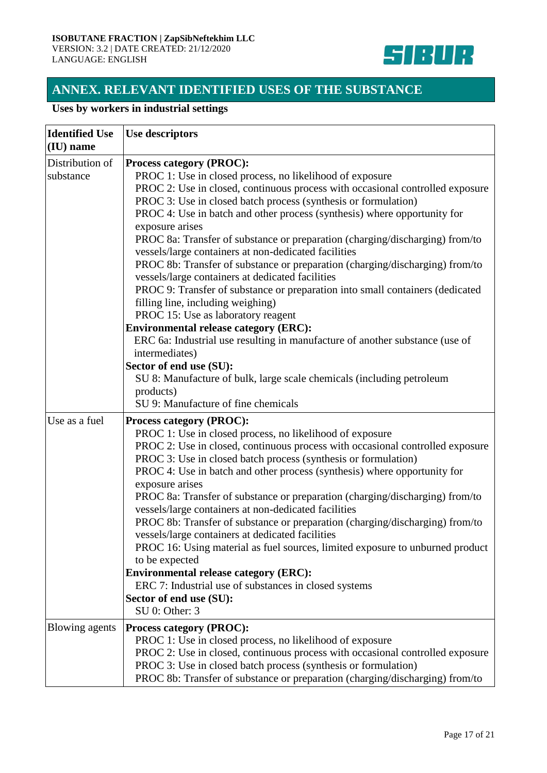

# **ANNEX. RELEVANT IDENTIFIED USES OF THE SUBSTANCE**

**Uses by workers in industrial settings**

| <b>Identified Use</b><br>$(IU)$ name | <b>Use descriptors</b>                                                                                                                                                                                                                                                                                                                                                                                                                                                                                                                                                                                                                                                                                                                                                                                                                                                                                                                  |
|--------------------------------------|-----------------------------------------------------------------------------------------------------------------------------------------------------------------------------------------------------------------------------------------------------------------------------------------------------------------------------------------------------------------------------------------------------------------------------------------------------------------------------------------------------------------------------------------------------------------------------------------------------------------------------------------------------------------------------------------------------------------------------------------------------------------------------------------------------------------------------------------------------------------------------------------------------------------------------------------|
| Distribution of<br>substance         | <b>Process category (PROC):</b><br>PROC 1: Use in closed process, no likelihood of exposure<br>PROC 2: Use in closed, continuous process with occasional controlled exposure<br>PROC 3: Use in closed batch process (synthesis or formulation)<br>PROC 4: Use in batch and other process (synthesis) where opportunity for<br>exposure arises<br>PROC 8a: Transfer of substance or preparation (charging/discharging) from/to<br>vessels/large containers at non-dedicated facilities<br>PROC 8b: Transfer of substance or preparation (charging/discharging) from/to<br>vessels/large containers at dedicated facilities<br>PROC 9: Transfer of substance or preparation into small containers (dedicated<br>filling line, including weighing)<br>PROC 15: Use as laboratory reagent<br><b>Environmental release category (ERC):</b><br>ERC 6a: Industrial use resulting in manufacture of another substance (use of<br>intermediates) |
|                                      | Sector of end use (SU):<br>SU 8: Manufacture of bulk, large scale chemicals (including petroleum<br>products)<br>SU 9: Manufacture of fine chemicals                                                                                                                                                                                                                                                                                                                                                                                                                                                                                                                                                                                                                                                                                                                                                                                    |
| Use as a fuel                        | <b>Process category (PROC):</b><br>PROC 1: Use in closed process, no likelihood of exposure<br>PROC 2: Use in closed, continuous process with occasional controlled exposure<br>PROC 3: Use in closed batch process (synthesis or formulation)<br>PROC 4: Use in batch and other process (synthesis) where opportunity for<br>exposure arises<br>PROC 8a: Transfer of substance or preparation (charging/discharging) from/to<br>vessels/large containers at non-dedicated facilities<br>PROC 8b: Transfer of substance or preparation (charging/discharging) from/to<br>vessels/large containers at dedicated facilities<br>PROC 16: Using material as fuel sources, limited exposure to unburned product<br>to be expected<br><b>Environmental release category (ERC):</b><br>ERC 7: Industrial use of substances in closed systems<br>Sector of end use (SU):<br>$SU$ 0: Other: 3                                                    |
| <b>Blowing agents</b>                | Process category (PROC):<br>PROC 1: Use in closed process, no likelihood of exposure<br>PROC 2: Use in closed, continuous process with occasional controlled exposure<br>PROC 3: Use in closed batch process (synthesis or formulation)<br>PROC 8b: Transfer of substance or preparation (charging/discharging) from/to                                                                                                                                                                                                                                                                                                                                                                                                                                                                                                                                                                                                                 |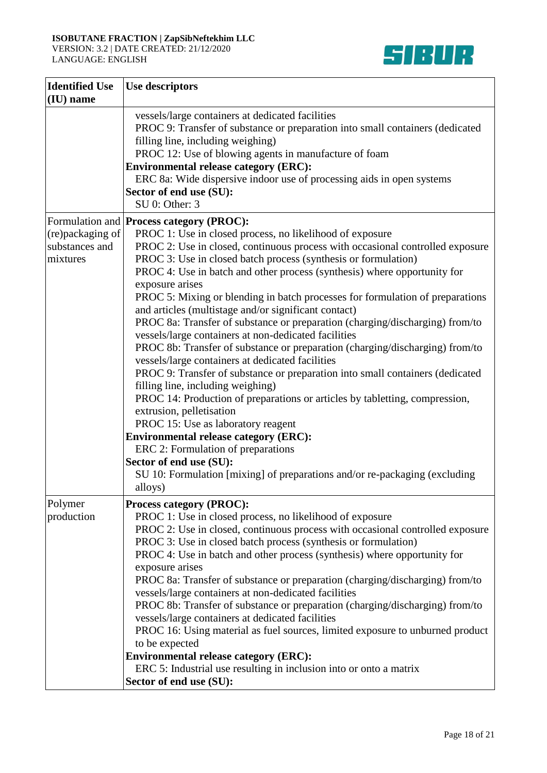

| <b>Identified Use</b>                          | <b>Use descriptors</b>                                                                                                                                                                                                                                                                                                                                                                                                                                                                                                                                                                                                                                                                                                                                                                                                                                                                                                                                                                                                                                                                                                                                                                                                                                               |
|------------------------------------------------|----------------------------------------------------------------------------------------------------------------------------------------------------------------------------------------------------------------------------------------------------------------------------------------------------------------------------------------------------------------------------------------------------------------------------------------------------------------------------------------------------------------------------------------------------------------------------------------------------------------------------------------------------------------------------------------------------------------------------------------------------------------------------------------------------------------------------------------------------------------------------------------------------------------------------------------------------------------------------------------------------------------------------------------------------------------------------------------------------------------------------------------------------------------------------------------------------------------------------------------------------------------------|
| (IU) name                                      |                                                                                                                                                                                                                                                                                                                                                                                                                                                                                                                                                                                                                                                                                                                                                                                                                                                                                                                                                                                                                                                                                                                                                                                                                                                                      |
|                                                | vessels/large containers at dedicated facilities<br>PROC 9: Transfer of substance or preparation into small containers (dedicated<br>filling line, including weighing)<br>PROC 12: Use of blowing agents in manufacture of foam<br><b>Environmental release category (ERC):</b><br>ERC 8a: Wide dispersive indoor use of processing aids in open systems<br>Sector of end use (SU):<br>$SU 0$ : Other: 3                                                                                                                                                                                                                                                                                                                                                                                                                                                                                                                                                                                                                                                                                                                                                                                                                                                             |
| (re)packaging of<br>substances and<br>mixtures | Formulation and <i>Process category (PROC)</i> :<br>PROC 1: Use in closed process, no likelihood of exposure<br>PROC 2: Use in closed, continuous process with occasional controlled exposure<br>PROC 3: Use in closed batch process (synthesis or formulation)<br>PROC 4: Use in batch and other process (synthesis) where opportunity for<br>exposure arises<br>PROC 5: Mixing or blending in batch processes for formulation of preparations<br>and articles (multistage and/or significant contact)<br>PROC 8a: Transfer of substance or preparation (charging/discharging) from/to<br>vessels/large containers at non-dedicated facilities<br>PROC 8b: Transfer of substance or preparation (charging/discharging) from/to<br>vessels/large containers at dedicated facilities<br>PROC 9: Transfer of substance or preparation into small containers (dedicated<br>filling line, including weighing)<br>PROC 14: Production of preparations or articles by tabletting, compression,<br>extrusion, pelletisation<br>PROC 15: Use as laboratory reagent<br><b>Environmental release category (ERC):</b><br>ERC 2: Formulation of preparations<br>Sector of end use (SU):<br>SU 10: Formulation [mixing] of preparations and/or re-packaging (excluding<br>alloys) |
| Polymer<br>production                          | <b>Process category (PROC):</b><br>PROC 1: Use in closed process, no likelihood of exposure<br>PROC 2: Use in closed, continuous process with occasional controlled exposure<br>PROC 3: Use in closed batch process (synthesis or formulation)<br>PROC 4: Use in batch and other process (synthesis) where opportunity for<br>exposure arises<br>PROC 8a: Transfer of substance or preparation (charging/discharging) from/to<br>vessels/large containers at non-dedicated facilities<br>PROC 8b: Transfer of substance or preparation (charging/discharging) from/to<br>vessels/large containers at dedicated facilities<br>PROC 16: Using material as fuel sources, limited exposure to unburned product<br>to be expected<br><b>Environmental release category (ERC):</b><br>ERC 5: Industrial use resulting in inclusion into or onto a matrix<br>Sector of end use (SU):                                                                                                                                                                                                                                                                                                                                                                                        |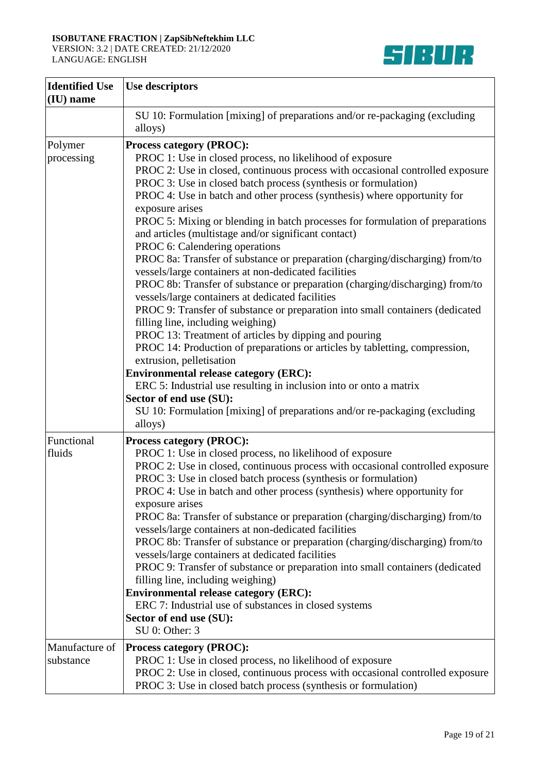#### **ISOBUTANE FRACTION | ZapSibNeftekhim LLC** VERSION: 3.2 | DATE CREATED: 21/12/2020





| <b>Identified Use</b><br>(IU) name | <b>Use descriptors</b>                                                                                                                                                                                                                                                                                                                                                                                                                                                                                                                                                                                                                                                                                                                                                                                                                                                                                                                                                                                                                                                                                                                                                                                                                                                                                                                   |  |
|------------------------------------|------------------------------------------------------------------------------------------------------------------------------------------------------------------------------------------------------------------------------------------------------------------------------------------------------------------------------------------------------------------------------------------------------------------------------------------------------------------------------------------------------------------------------------------------------------------------------------------------------------------------------------------------------------------------------------------------------------------------------------------------------------------------------------------------------------------------------------------------------------------------------------------------------------------------------------------------------------------------------------------------------------------------------------------------------------------------------------------------------------------------------------------------------------------------------------------------------------------------------------------------------------------------------------------------------------------------------------------|--|
|                                    | SU 10: Formulation [mixing] of preparations and/or re-packaging (excluding<br>alloys)                                                                                                                                                                                                                                                                                                                                                                                                                                                                                                                                                                                                                                                                                                                                                                                                                                                                                                                                                                                                                                                                                                                                                                                                                                                    |  |
| Polymer<br>processing              | <b>Process category (PROC):</b><br>PROC 1: Use in closed process, no likelihood of exposure<br>PROC 2: Use in closed, continuous process with occasional controlled exposure<br>PROC 3: Use in closed batch process (synthesis or formulation)<br>PROC 4: Use in batch and other process (synthesis) where opportunity for<br>exposure arises<br>PROC 5: Mixing or blending in batch processes for formulation of preparations<br>and articles (multistage and/or significant contact)<br>PROC 6: Calendering operations<br>PROC 8a: Transfer of substance or preparation (charging/discharging) from/to<br>vessels/large containers at non-dedicated facilities<br>PROC 8b: Transfer of substance or preparation (charging/discharging) from/to<br>vessels/large containers at dedicated facilities<br>PROC 9: Transfer of substance or preparation into small containers (dedicated<br>filling line, including weighing)<br>PROC 13: Treatment of articles by dipping and pouring<br>PROC 14: Production of preparations or articles by tabletting, compression,<br>extrusion, pelletisation<br><b>Environmental release category (ERC):</b><br>ERC 5: Industrial use resulting in inclusion into or onto a matrix<br>Sector of end use (SU):<br>SU 10: Formulation [mixing] of preparations and/or re-packaging (excluding<br>alloys) |  |
| Functional<br>fluids               | Process category (PROC):<br>PROC 1: Use in closed process, no likelihood of exposure<br>PROC 2: Use in closed, continuous process with occasional controlled exposure<br>PROC 3: Use in closed batch process (synthesis or formulation)<br>PROC 4: Use in batch and other process (synthesis) where opportunity for<br>exposure arises<br>PROC 8a: Transfer of substance or preparation (charging/discharging) from/to<br>vessels/large containers at non-dedicated facilities<br>PROC 8b: Transfer of substance or preparation (charging/discharging) from/to<br>vessels/large containers at dedicated facilities<br>PROC 9: Transfer of substance or preparation into small containers (dedicated<br>filling line, including weighing)<br><b>Environmental release category (ERC):</b><br>ERC 7: Industrial use of substances in closed systems<br>Sector of end use (SU):<br>$SU$ 0: Other: 3                                                                                                                                                                                                                                                                                                                                                                                                                                         |  |
| Manufacture of<br>substance        | <b>Process category (PROC):</b><br>PROC 1: Use in closed process, no likelihood of exposure<br>PROC 2: Use in closed, continuous process with occasional controlled exposure<br>PROC 3: Use in closed batch process (synthesis or formulation)                                                                                                                                                                                                                                                                                                                                                                                                                                                                                                                                                                                                                                                                                                                                                                                                                                                                                                                                                                                                                                                                                           |  |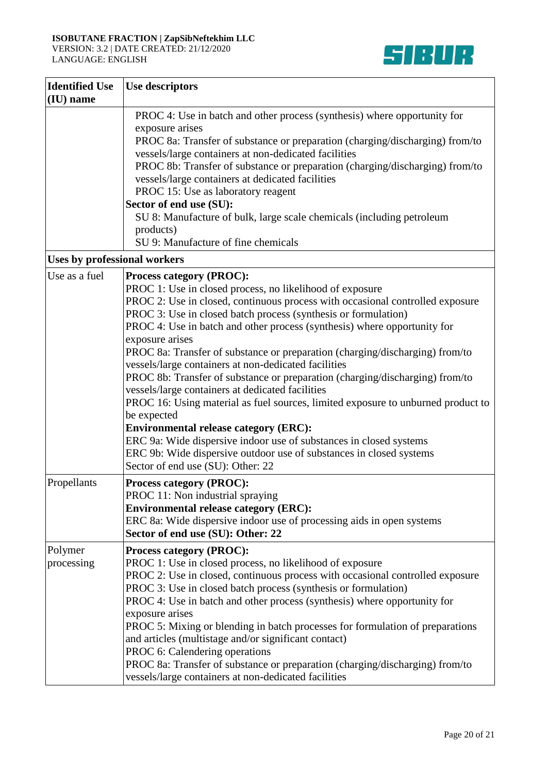LANGUAGE: ENGLISH



| <b>Identified Use</b><br>(IU) name  | <b>Use descriptors</b>                                                                                                                                                                                                                                                                                                                                                                                                                                                                                                                                                                                                                                                                                                                                                                                                                                                                                                                                         |
|-------------------------------------|----------------------------------------------------------------------------------------------------------------------------------------------------------------------------------------------------------------------------------------------------------------------------------------------------------------------------------------------------------------------------------------------------------------------------------------------------------------------------------------------------------------------------------------------------------------------------------------------------------------------------------------------------------------------------------------------------------------------------------------------------------------------------------------------------------------------------------------------------------------------------------------------------------------------------------------------------------------|
|                                     | PROC 4: Use in batch and other process (synthesis) where opportunity for<br>exposure arises<br>PROC 8a: Transfer of substance or preparation (charging/discharging) from/to<br>vessels/large containers at non-dedicated facilities<br>PROC 8b: Transfer of substance or preparation (charging/discharging) from/to<br>vessels/large containers at dedicated facilities<br>PROC 15: Use as laboratory reagent<br>Sector of end use (SU):<br>SU 8: Manufacture of bulk, large scale chemicals (including petroleum<br>products)<br>SU 9: Manufacture of fine chemicals                                                                                                                                                                                                                                                                                                                                                                                          |
| <b>Uses by professional workers</b> |                                                                                                                                                                                                                                                                                                                                                                                                                                                                                                                                                                                                                                                                                                                                                                                                                                                                                                                                                                |
| Use as a fuel                       | <b>Process category (PROC):</b><br>PROC 1: Use in closed process, no likelihood of exposure<br>PROC 2: Use in closed, continuous process with occasional controlled exposure<br>PROC 3: Use in closed batch process (synthesis or formulation)<br>PROC 4: Use in batch and other process (synthesis) where opportunity for<br>exposure arises<br>PROC 8a: Transfer of substance or preparation (charging/discharging) from/to<br>vessels/large containers at non-dedicated facilities<br>PROC 8b: Transfer of substance or preparation (charging/discharging) from/to<br>vessels/large containers at dedicated facilities<br>PROC 16: Using material as fuel sources, limited exposure to unburned product to<br>be expected<br><b>Environmental release category (ERC):</b><br>ERC 9a: Wide dispersive indoor use of substances in closed systems<br>ERC 9b: Wide dispersive outdoor use of substances in closed systems<br>Sector of end use (SU): Other: 22 |
| Propellants                         | <b>Process category (PROC):</b><br>PROC 11: Non industrial spraying<br><b>Environmental release category (ERC):</b><br>ERC 8a: Wide dispersive indoor use of processing aids in open systems<br>Sector of end use (SU): Other: 22                                                                                                                                                                                                                                                                                                                                                                                                                                                                                                                                                                                                                                                                                                                              |
| Polymer<br>processing               | <b>Process category (PROC):</b><br>PROC 1: Use in closed process, no likelihood of exposure<br>PROC 2: Use in closed, continuous process with occasional controlled exposure<br>PROC 3: Use in closed batch process (synthesis or formulation)<br>PROC 4: Use in batch and other process (synthesis) where opportunity for<br>exposure arises<br>PROC 5: Mixing or blending in batch processes for formulation of preparations<br>and articles (multistage and/or significant contact)<br>PROC 6: Calendering operations<br>PROC 8a: Transfer of substance or preparation (charging/discharging) from/to<br>vessels/large containers at non-dedicated facilities                                                                                                                                                                                                                                                                                               |